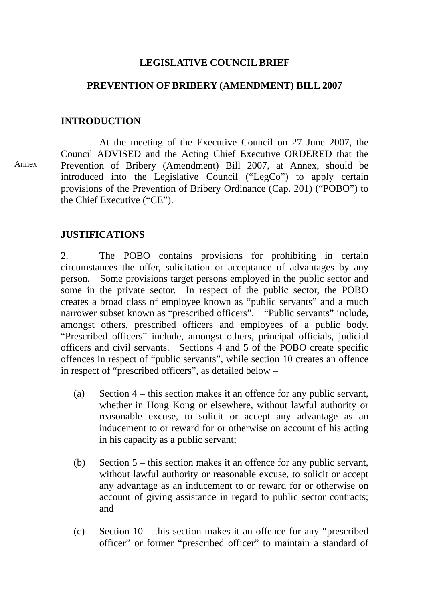## **LEGISLATIVE COUNCIL BRIEF**

## **PREVENTION OF BRIBERY (AMENDMENT) BILL 2007**

### **INTRODUCTION**

 At the meeting of the Executive Council on 27 June 2007, the Council ADVISED and the Acting Chief Executive ORDERED that the Prevention of Bribery (Amendment) Bill 2007, at Annex, should be introduced into the Legislative Council ("LegCo") to apply certain provisions of the Prevention of Bribery Ordinance (Cap. 201) ("POBO") to the Chief Executive ("CE").

## **JUSTIFICATIONS**

2. The POBO contains provisions for prohibiting in certain circumstances the offer, solicitation or acceptance of advantages by any person. Some provisions target persons employed in the public sector and some in the private sector. In respect of the public sector, the POBO creates a broad class of employee known as "public servants" and a much narrower subset known as "prescribed officers". "Public servants" include, amongst others, prescribed officers and employees of a public body. "Prescribed officers" include, amongst others, principal officials, judicial officers and civil servants. Sections 4 and 5 of the POBO create specific offences in respect of "public servants", while section 10 creates an offence in respect of "prescribed officers", as detailed below –

- (a) Section 4 this section makes it an offence for any public servant, whether in Hong Kong or elsewhere, without lawful authority or reasonable excuse, to solicit or accept any advantage as an inducement to or reward for or otherwise on account of his acting in his capacity as a public servant;
- (b) Section 5 this section makes it an offence for any public servant, without lawful authority or reasonable excuse, to solicit or accept any advantage as an inducement to or reward for or otherwise on account of giving assistance in regard to public sector contracts; and
- (c) Section 10 this section makes it an offence for any "prescribed officer" or former "prescribed officer" to maintain a standard of

Annex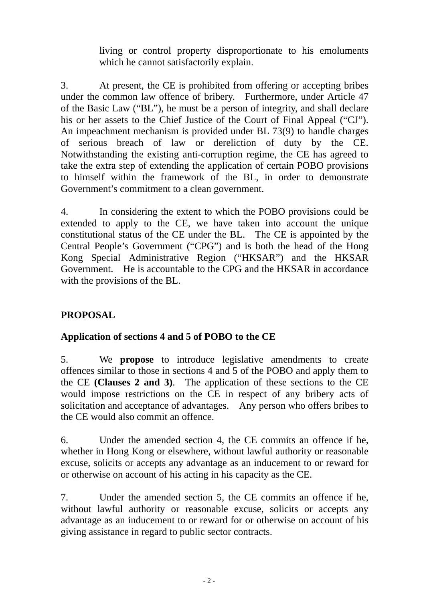living or control property disproportionate to his emoluments which he cannot satisfactorily explain.

3. At present, the CE is prohibited from offering or accepting bribes under the common law offence of bribery. Furthermore, under Article 47 of the Basic Law ("BL"), he must be a person of integrity, and shall declare his or her assets to the Chief Justice of the Court of Final Appeal ("CJ"). An impeachment mechanism is provided under BL 73(9) to handle charges of serious breach of law or dereliction of duty by the CE. Notwithstanding the existing anti-corruption regime, the CE has agreed to take the extra step of extending the application of certain POBO provisions to himself within the framework of the BL, in order to demonstrate Government's commitment to a clean government.

4. In considering the extent to which the POBO provisions could be extended to apply to the CE, we have taken into account the unique constitutional status of the CE under the BL. The CE is appointed by the Central People's Government ("CPG") and is both the head of the Hong Kong Special Administrative Region ("HKSAR") and the HKSAR Government. He is accountable to the CPG and the HKSAR in accordance with the provisions of the BL.

# **PROPOSAL**

## **Application of sections 4 and 5 of POBO to the CE**

5. We **propose** to introduce legislative amendments to create offences similar to those in sections 4 and 5 of the POBO and apply them to the CE **(Clauses 2 and 3)**. The application of these sections to the CE would impose restrictions on the CE in respect of any bribery acts of solicitation and acceptance of advantages. Any person who offers bribes to the CE would also commit an offence.

6. Under the amended section 4, the CE commits an offence if he, whether in Hong Kong or elsewhere, without lawful authority or reasonable excuse, solicits or accepts any advantage as an inducement to or reward for or otherwise on account of his acting in his capacity as the CE.

7. Under the amended section 5, the CE commits an offence if he, without lawful authority or reasonable excuse, solicits or accepts any advantage as an inducement to or reward for or otherwise on account of his giving assistance in regard to public sector contracts.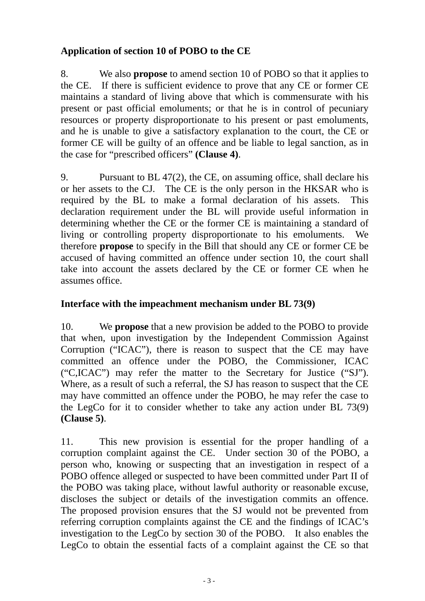# **Application of section 10 of POBO to the CE**

8. We also **propose** to amend section 10 of POBO so that it applies to the CE. If there is sufficient evidence to prove that any CE or former CE maintains a standard of living above that which is commensurate with his present or past official emoluments; or that he is in control of pecuniary resources or property disproportionate to his present or past emoluments, and he is unable to give a satisfactory explanation to the court, the CE or former CE will be guilty of an offence and be liable to legal sanction, as in the case for "prescribed officers" **(Clause 4)**.

9. Pursuant to BL 47(2), the CE, on assuming office, shall declare his or her assets to the CJ. The CE is the only person in the HKSAR who is required by the BL to make a formal declaration of his assets. This declaration requirement under the BL will provide useful information in determining whether the CE or the former CE is maintaining a standard of living or controlling property disproportionate to his emoluments. We therefore **propose** to specify in the Bill that should any CE or former CE be accused of having committed an offence under section 10, the court shall take into account the assets declared by the CE or former CE when he assumes office.

# **Interface with the impeachment mechanism under BL 73(9)**

10. We **propose** that a new provision be added to the POBO to provide that when, upon investigation by the Independent Commission Against Corruption ("ICAC"), there is reason to suspect that the CE may have committed an offence under the POBO, the Commissioner, ICAC ("C,ICAC") may refer the matter to the Secretary for Justice ("SJ"). Where, as a result of such a referral, the SJ has reason to suspect that the CE may have committed an offence under the POBO, he may refer the case to the LegCo for it to consider whether to take any action under BL 73(9) **(Clause 5)**.

11. This new provision is essential for the proper handling of a corruption complaint against the CE. Under section 30 of the POBO, a person who, knowing or suspecting that an investigation in respect of a POBO offence alleged or suspected to have been committed under Part II of the POBO was taking place, without lawful authority or reasonable excuse, discloses the subject or details of the investigation commits an offence. The proposed provision ensures that the SJ would not be prevented from referring corruption complaints against the CE and the findings of ICAC's investigation to the LegCo by section 30 of the POBO. It also enables the LegCo to obtain the essential facts of a complaint against the CE so that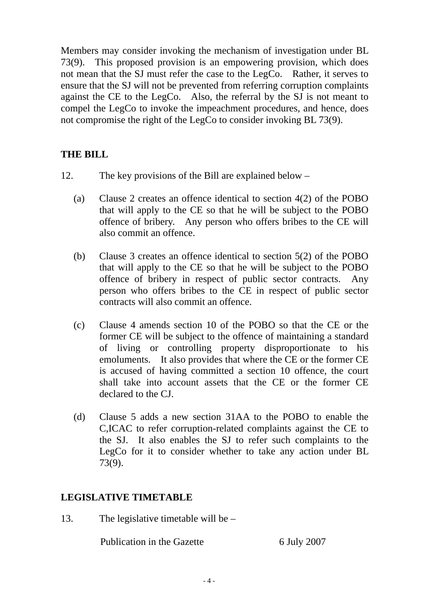Members may consider invoking the mechanism of investigation under BL 73(9). This proposed provision is an empowering provision, which does not mean that the SJ must refer the case to the LegCo. Rather, it serves to ensure that the SJ will not be prevented from referring corruption complaints against the CE to the LegCo. Also, the referral by the SJ is not meant to compel the LegCo to invoke the impeachment procedures, and hence, does not compromise the right of the LegCo to consider invoking BL 73(9).

## **THE BILL**

- 12. The key provisions of the Bill are explained below
	- (a) Clause 2 creates an offence identical to section 4(2) of the POBO that will apply to the CE so that he will be subject to the POBO offence of bribery. Any person who offers bribes to the CE will also commit an offence.
	- (b) Clause 3 creates an offence identical to section 5(2) of the POBO that will apply to the CE so that he will be subject to the POBO offence of bribery in respect of public sector contracts. Any person who offers bribes to the CE in respect of public sector contracts will also commit an offence.
	- (c) Clause 4 amends section 10 of the POBO so that the CE or the former CE will be subject to the offence of maintaining a standard of living or controlling property disproportionate to his emoluments. It also provides that where the CE or the former CE is accused of having committed a section 10 offence, the court shall take into account assets that the CE or the former CE declared to the CJ.
	- (d) Clause 5 adds a new section 31AA to the POBO to enable the C,ICAC to refer corruption-related complaints against the CE to the SJ. It also enables the SJ to refer such complaints to the LegCo for it to consider whether to take any action under BL 73(9).

## **LEGISLATIVE TIMETABLE**

13. The legislative timetable will be –

Publication in the Gazette 6 July 2007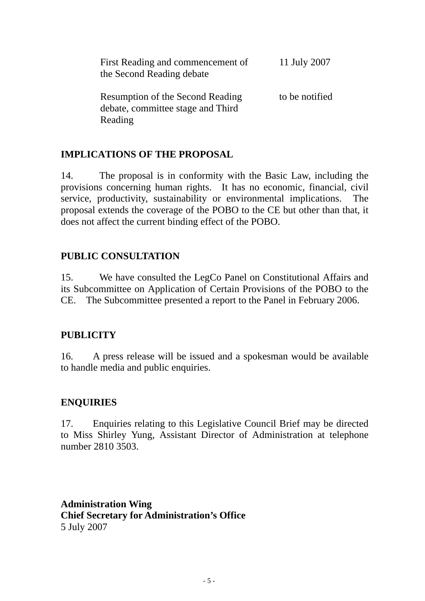| First Reading and commencement of<br>the Second Reading debate                          | 11 July 2007   |
|-----------------------------------------------------------------------------------------|----------------|
| <b>Resumption of the Second Reading</b><br>debate, committee stage and Third<br>Reading | to be notified |

## **IMPLICATIONS OF THE PROPOSAL**

14. The proposal is in conformity with the Basic Law, including the provisions concerning human rights. It has no economic, financial, civil service, productivity, sustainability or environmental implications. The proposal extends the coverage of the POBO to the CE but other than that, it does not affect the current binding effect of the POBO.

### **PUBLIC CONSULTATION**

15. We have consulted the LegCo Panel on Constitutional Affairs and its Subcommittee on Application of Certain Provisions of the POBO to the CE. The Subcommittee presented a report to the Panel in February 2006.

### **PUBLICITY**

16. A press release will be issued and a spokesman would be available to handle media and public enquiries.

## **ENQUIRIES**

17. Enquiries relating to this Legislative Council Brief may be directed to Miss Shirley Yung, Assistant Director of Administration at telephone number 2810 3503.

**Administration Wing Chief Secretary for Administration's Office**  5 July 2007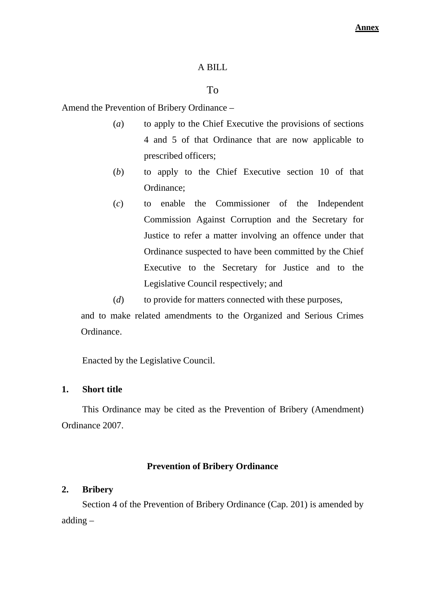#### A BILL

### To

Amend the Prevention of Bribery Ordinance –

- (*a*) to apply to the Chief Executive the provisions of sections 4 and 5 of that Ordinance that are now applicable to prescribed officers;
- (*b*) to apply to the Chief Executive section 10 of that Ordinance;
- (*c*) to enable the Commissioner of the Independent Commission Against Corruption and the Secretary for Justice to refer a matter involving an offence under that Ordinance suspected to have been committed by the Chief Executive to the Secretary for Justice and to the Legislative Council respectively; and

(*d*) to provide for matters connected with these purposes, and to make related amendments to the Organized and Serious Crimes Ordinance.

Enacted by the Legislative Council.

#### **1. Short title**

This Ordinance may be cited as the Prevention of Bribery (Amendment) Ordinance 2007.

#### **Prevention of Bribery Ordinance**

#### **2. Bribery**

Section 4 of the Prevention of Bribery Ordinance (Cap. 201) is amended by adding –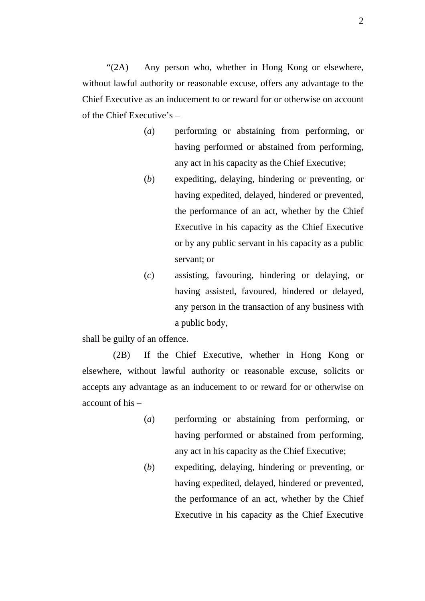"(2A) Any person who, whether in Hong Kong or elsewhere, without lawful authority or reasonable excuse, offers any advantage to the Chief Executive as an inducement to or reward for or otherwise on account of the Chief Executive's –

- (*a*) performing or abstaining from performing, or having performed or abstained from performing, any act in his capacity as the Chief Executive;
- (*b*) expediting, delaying, hindering or preventing, or having expedited, delayed, hindered or prevented, the performance of an act, whether by the Chief Executive in his capacity as the Chief Executive or by any public servant in his capacity as a public servant; or
- (*c*) assisting, favouring, hindering or delaying, or having assisted, favoured, hindered or delayed, any person in the transaction of any business with a public body,

shall be guilty of an offence.

(2B) If the Chief Executive, whether in Hong Kong or elsewhere, without lawful authority or reasonable excuse, solicits or accepts any advantage as an inducement to or reward for or otherwise on account of his –

- (*a*) performing or abstaining from performing, or having performed or abstained from performing, any act in his capacity as the Chief Executive;
- (*b*) expediting, delaying, hindering or preventing, or having expedited, delayed, hindered or prevented, the performance of an act, whether by the Chief Executive in his capacity as the Chief Executive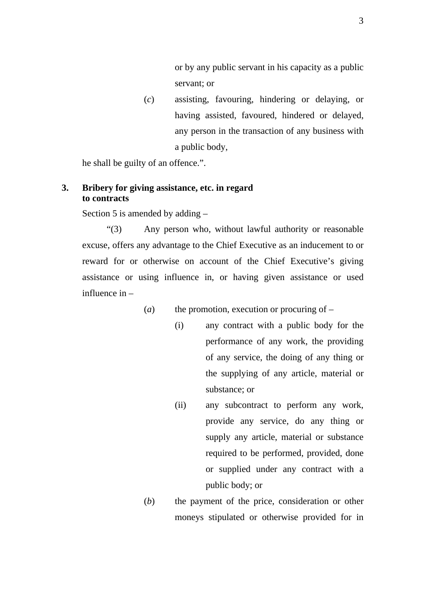or by any public servant in his capacity as a public servant; or

(*c*) assisting, favouring, hindering or delaying, or having assisted, favoured, hindered or delayed, any person in the transaction of any business with a public body,

he shall be guilty of an offence.".

#### **3. Bribery for giving assistance, etc. in regard to contracts**

Section 5 is amended by adding –

"(3) Any person who, without lawful authority or reasonable excuse, offers any advantage to the Chief Executive as an inducement to or reward for or otherwise on account of the Chief Executive's giving assistance or using influence in, or having given assistance or used influence in –

- $(a)$  the promotion, execution or procuring of
	- (i) any contract with a public body for the performance of any work, the providing of any service, the doing of any thing or the supplying of any article, material or substance; or
	- (ii) any subcontract to perform any work, provide any service, do any thing or supply any article, material or substance required to be performed, provided, done or supplied under any contract with a public body; or
	- (*b*) the payment of the price, consideration or other moneys stipulated or otherwise provided for in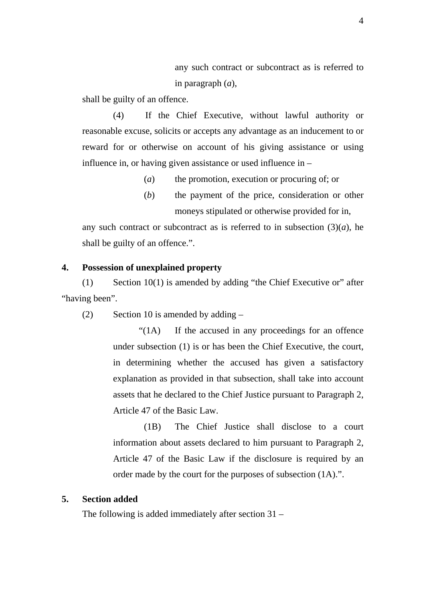any such contract or subcontract as is referred to in paragraph (*a*),

shall be guilty of an offence.

(4) If the Chief Executive, without lawful authority or reasonable excuse, solicits or accepts any advantage as an inducement to or reward for or otherwise on account of his giving assistance or using influence in, or having given assistance or used influence in –

(*a*) the promotion, execution or procuring of; or

(*b*) the payment of the price, consideration or other moneys stipulated or otherwise provided for in,

any such contract or subcontract as is referred to in subsection  $(3)(a)$ , he shall be guilty of an offence.".

#### **4. Possession of unexplained property**

(1) Section 10(1) is amended by adding "the Chief Executive or" after "having been".

(2) Section 10 is amended by adding –

"(1A) If the accused in any proceedings for an offence under subsection (1) is or has been the Chief Executive, the court, in determining whether the accused has given a satisfactory explanation as provided in that subsection, shall take into account assets that he declared to the Chief Justice pursuant to Paragraph 2, Article 47 of the Basic Law.

(1B) The Chief Justice shall disclose to a court information about assets declared to him pursuant to Paragraph 2, Article 47 of the Basic Law if the disclosure is required by an order made by the court for the purposes of subsection (1A).".

#### **5. Section added**

The following is added immediately after section 31 –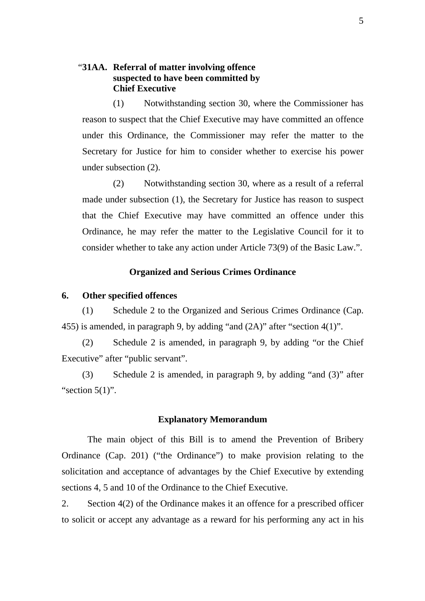### "**31AA. Referral of matter involving offence suspected to have been committed by Chief Executive**

(1) Notwithstanding section 30, where the Commissioner has reason to suspect that the Chief Executive may have committed an offence under this Ordinance, the Commissioner may refer the matter to the Secretary for Justice for him to consider whether to exercise his power under subsection (2).

(2) Notwithstanding section 30, where as a result of a referral made under subsection (1), the Secretary for Justice has reason to suspect that the Chief Executive may have committed an offence under this Ordinance, he may refer the matter to the Legislative Council for it to consider whether to take any action under Article 73(9) of the Basic Law.".

#### **Organized and Serious Crimes Ordinance**

#### **6. Other specified offences**

(1) Schedule 2 to the Organized and Serious Crimes Ordinance (Cap. 455) is amended, in paragraph 9, by adding "and (2A)" after "section 4(1)".

(2) Schedule 2 is amended, in paragraph 9, by adding "or the Chief Executive" after "public servant".

(3) Schedule 2 is amended, in paragraph 9, by adding "and (3)" after "section  $5(1)$ ".

#### **Explanatory Memorandum**

The main object of this Bill is to amend the Prevention of Bribery Ordinance (Cap. 201) ("the Ordinance") to make provision relating to the solicitation and acceptance of advantages by the Chief Executive by extending sections 4, 5 and 10 of the Ordinance to the Chief Executive.

2. Section 4(2) of the Ordinance makes it an offence for a prescribed officer to solicit or accept any advantage as a reward for his performing any act in his